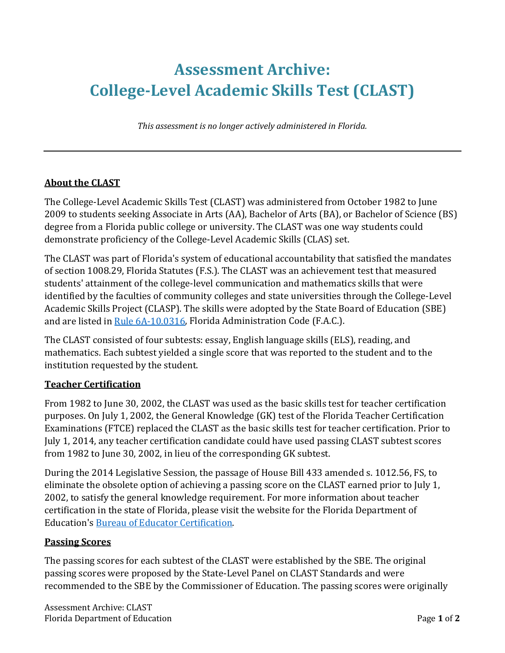# **Assessment Archive: College-Level Academic Skills Test (CLAST)**

*This assessment is no longer actively administered in Florida.*

#### **About the CLAST**

The College-Level Academic Skills Test (CLAST) was administered from October 1982 to June 2009 to students seeking Associate in Arts (AA), Bachelor of Arts (BA), or Bachelor of Science (BS) degree from a Florida public college or university. The CLAST was one way students could demonstrate proficiency of the College-Level Academic Skills (CLAS) set.

The CLAST was part of Florida's system of educational accountability that satisfied the mandates of section 1008.29, Florida Statutes (F.S.). The CLAST was an achievement test that measured students' attainment of the college-level communication and mathematics skills that were identified by the faculties of community colleges and state universities through the College-Level Academic Skills Project (CLASP). The skills were adopted by the State Board of Education (SBE) and are listed in [Rule 6A-10.0316,](https://www.flrules.org/gateway/ruleNo.asp?id=6A-10.0316) Florida Administration Code (F.A.C.).

The CLAST consisted of four subtests: essay, English language skills (ELS), reading, and mathematics. Each subtest yielded a single score that was reported to the student and to the institution requested by the student.

### **Teacher Certification**

From 1982 to June 30, 2002, the CLAST was used as the basic skills test for teacher certification purposes. On July 1, 2002, the General Knowledge (GK) test of the Florida Teacher Certification Examinations (FTCE) replaced the CLAST as the basic skills test for teacher certification. Prior to July 1, 2014, any teacher certification candidate could have used passing CLAST subtest scores from 1982 to June 30, 2002, in lieu of the corresponding GK subtest.

During the 2014 Legislative Session, the passage of House Bill 433 amended s. 1012.56, FS, to eliminate the obsolete option of achieving a passing score on the CLAST earned prior to July 1, 2002, to satisfy the general knowledge requirement. For more information about teacher certification in the state of Florida, please visit the website for the Florida Department of Education's [Bureau of Educator Certification.](http://cms.fldoe.org/teaching/certification/)

### **Passing Scores**

The passing scores for each subtest of the CLAST were established by the SBE. The original passing scores were proposed by the State-Level Panel on CLAST Standards and were recommended to the SBE by the Commissioner of Education. The passing scores were originally